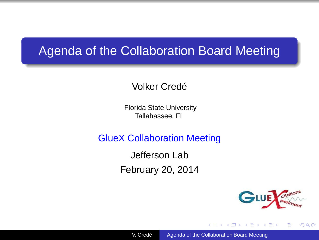### Agenda of the Collaboration Board Meeting

#### Volker Credé

Florida State University Tallahassee, FL

GlueX Collaboration Meeting

Jefferson Lab February 20, 2014



<span id="page-0-0"></span> $2Q$ 

医单头 化重

4 17 18

A F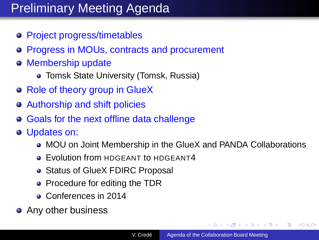# Preliminary Meeting Agenda

- Project progress/timetables
- Progress in MOUs, contracts and procurement
- o Membership update
	- **Tomsk State University (Tomsk, Russia)**
- o Role of theory group in GlueX
- Authorship and shift policies
- Goals for the next offline data challenge
- Updates on:
	- MOU on Joint Membership in the GlueX and PANDA Collaborations
	- **Evolution from HDGEANT to HDGEANT4**
	- Status of GlueX FDIRC Proposal
	- Procedure for editing the TDR
	- Conferences in 2014
- Any other business

 $A\ \overline{B}\ \rightarrow\ A\ \overline{B}\ \rightarrow$ 

 $QQ$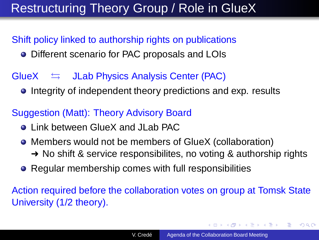## Restructuring Theory Group / Role in GlueX

### Shift policy linked to authorship rights on publications

**•** Different scenario for PAC proposals and LOIs

### $G \cup X$   $\Rightarrow$  JLab Physics Analysis Center (PAC)

**•** Integrity of independent theory predictions and exp. results

#### Suggestion (Matt): Theory Advisory Board

- **Link between GlueX and JLab PAC**
- Members would not be members of GlueX (collaboration) **→** No shift & service responsibilites, no voting & authorship rights
- Regular membership comes with full responsibilities

### Action required before the collaboration votes on group at Tomsk State University (1/2 theory).

**K ロ ト K 何 ト K ヨ ト K ヨ ト** 

ヨー  $2Q$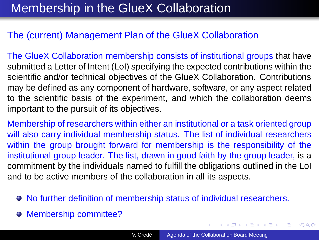### Membership in the GlueX Collaboration

#### The (current) Management Plan of the GlueX Collaboration

The GlueX Collaboration membership consists of institutional groups that have submitted a Letter of Intent (LoI) specifying the expected contributions within the scientific and/or technical objectives of the GlueX Collaboration. Contributions may be defined as any component of hardware, software, or any aspect related to the scientific basis of the experiment, and which the collaboration deems important to the pursuit of its objectives.

Membership of researchers within either an institutional or a task oriented group will also carry individual membership status. The list of individual researchers within the group brought forward for membership is the responsibility of the institutional group leader. The list, drawn in good faith by the group leader, is a commitment by the individuals named to fulfill the obligations outlined in the LoI and to be active members of the collaboration in all its aspects.

- No further definition of membership status of individual researchers.
- Membership committee?

**K ロ ▶ K 御 ▶ K 唐 ▶ K 唐 ▶** 

 $299$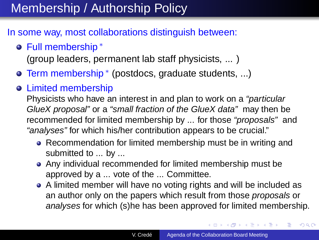## Membership / Authorship Policy

#### In some way, most collaborations distinguish between:

Full membership <sup>∗</sup>

(group leaders, permanent lab staff physicists, ... )

- Term membership<sup>\*</sup> (postdocs, graduate students, ...)
- Limited membership

Physicists who have an interest in and plan to work on a "particular GlueX proposal" or a "small fraction of the GlueX data" may then be recommended for limited membership by ... for those "proposals" and "analyses" for which his/her contribution appears to be crucial."

- Recommendation for limited membership must be in writing and submitted to ... by ...
- Any individual recommended for limited membership must be approved by a ... vote of the ... Committee.
- A limited member will have no voting rights and will be included as an author only on the papers which result from those proposals or analyses for which (s)he has been approved for limited membership.

 $\left\{ \begin{array}{ccc} 1 & 0 & 0 \\ 0 & 1 & 0 \\ 0 & 0 & 0 \\ 0 & 0 & 0 \\ 0 & 0 & 0 \\ 0 & 0 & 0 \\ 0 & 0 & 0 \\ 0 & 0 & 0 \\ 0 & 0 & 0 \\ 0 & 0 & 0 \\ 0 & 0 & 0 \\ 0 & 0 & 0 \\ 0 & 0 & 0 \\ 0 & 0 & 0 \\ 0 & 0 & 0 & 0 \\ 0 & 0 & 0 & 0 \\ 0 & 0 & 0 & 0 \\ 0 & 0 & 0 & 0 & 0 \\ 0 & 0 & 0 & 0 & 0 \\ 0 & 0 & 0 & 0 & 0 \\ 0$ 

 $QQ$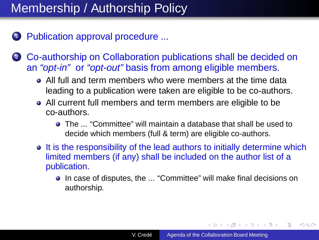## Membership / Authorship Policy

- <sup>1</sup> Publication approval procedure ...
- 2 Co-authorship on Collaboration publications shall be decided on an "opt-in" or "opt-out" basis from among eligible members.
	- All full and term members who were members at the time data leading to a publication were taken are eligible to be co-authors.
	- All current full members and term members are eligible to be co-authors.
		- The ... "Committee" will maintain a database that shall be used to decide which members (full & term) are eligible co-authors.
	- It is the responsibility of the lead authors to initially determine which limited members (if any) shall be included on the author list of a publication.
		- In case of disputes, the ... "Committee" will make final decisions on authorship.

イロト イ押 トイヨ トイヨト

 $2Q$